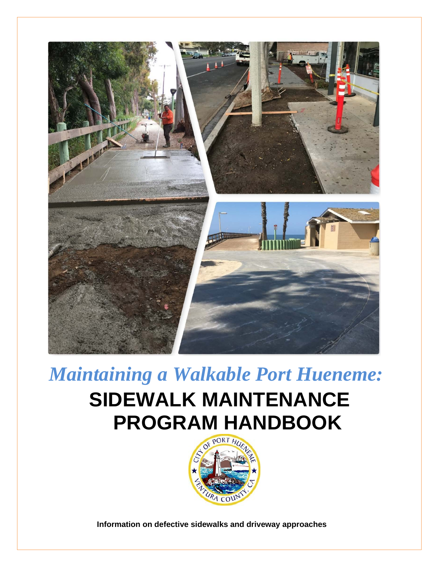

*Maintaining a Walkable Port Hueneme:*

# **SIDEWALK MAINTENANCE PROGRAM HANDBOOK**



**Information on defective sidewalks and driveway approaches**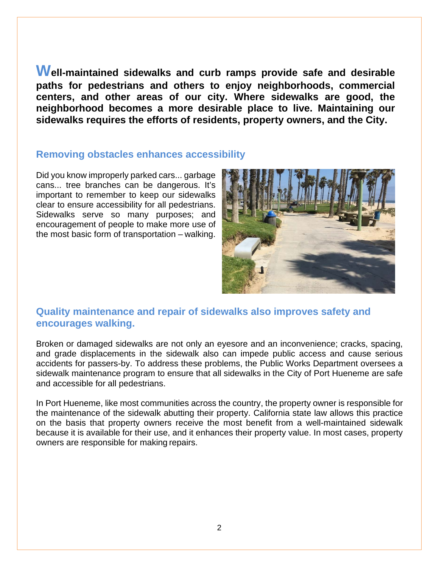**Well-maintained sidewalks and curb ramps provide safe and desirable paths for pedestrians and others to enjoy neighborhoods, commercial centers, and other areas of our city. Where sidewalks are good, the neighborhood becomes a more desirable place to live. Maintaining our sidewalks requires the efforts of residents, property owners, and the City.**

## **Removing obstacles enhances accessibility**

Did you know improperly parked cars... garbage cans... tree branches can be dangerous. It's important to remember to keep our sidewalks clear to ensure accessibility for all pedestrians. Sidewalks serve so many purposes; and encouragement of people to make more use of the most basic form of transportation – walking.



# **Quality maintenance and repair of sidewalks also improves safety and encourages walking.**

Broken or damaged sidewalks are not only an eyesore and an inconvenience; cracks, spacing, and grade displacements in the sidewalk also can impede public access and cause serious accidents for passers-by. To address these problems, the Public Works Department oversees a sidewalk maintenance program to ensure that all sidewalks in the City of Port Hueneme are safe and accessible for all pedestrians.

In Port Hueneme, like most communities across the country, the property owner is responsible for the maintenance of the sidewalk abutting their property. California state law allows this practice on the basis that property owners receive the most benefit from a well-maintained sidewalk because it is available for their use, and it enhances their property value. In most cases, property owners are responsible for making repairs.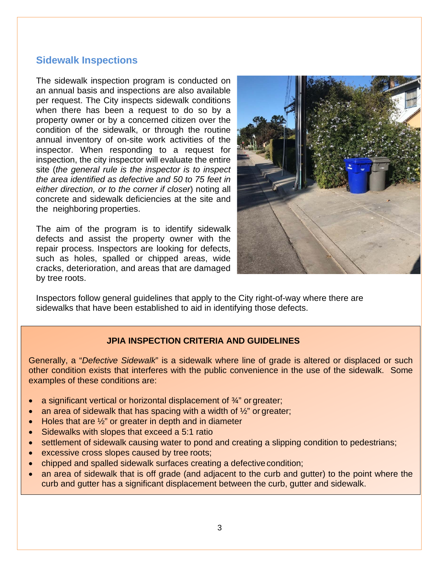# **Sidewalk Inspections**

The sidewalk inspection program is conducted on an annual basis and inspections are also available per request. The City inspects sidewalk conditions when there has been a request to do so by a property owner or by a concerned citizen over the condition of the sidewalk, or through the routine annual inventory of on-site work activities of the inspector. When responding to a request for inspection, the city inspector will evaluate the entire site (*the general rule is the inspector is to inspect the area identified as defective and 50 to 75 feet in either direction, or to the corner if closer*) noting all concrete and sidewalk deficiencies at the site and the neighboring properties.

The aim of the program is to identify sidewalk defects and assist the property owner with the repair process. Inspectors are looking for defects, such as holes, spalled or chipped areas, wide cracks, deterioration, and areas that are damaged by tree roots.



Inspectors follow general guidelines that apply to the City right-of-way where there are sidewalks that have been established to aid in identifying those defects.

## **JPIA INSPECTION CRITERIA AND GUIDELINES**

Generally, a "*Defective Sidewalk*" is a sidewalk where line of grade is altered or displaced or such other condition exists that interferes with the public convenience in the use of the sidewalk. Some examples of these conditions are:

- a significant vertical or horizontal displacement of  $\frac{3}{4}$ " or greater;
- an area of sidewalk that has spacing with a width of  $\frac{1}{2}$ " or greater;
- Holes that are  $\frac{1}{2}$ " or greater in depth and in diameter
- Sidewalks with slopes that exceed a 5:1 ratio
- settlement of sidewalk causing water to pond and creating a slipping condition to pedestrians;
- excessive cross slopes caused by tree roots;
- chipped and spalled sidewalk surfaces creating a defective condition;
- an area of sidewalk that is off grade (and adjacent to the curb and gutter) to the point where the curb and gutter has a significant displacement between the curb, gutter and sidewalk.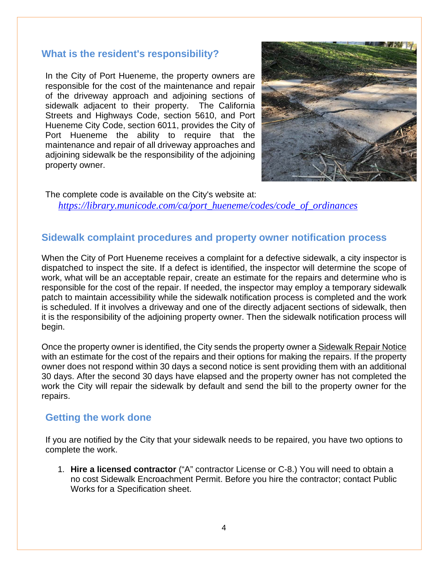## **What is the resident's responsibility?**

In the City of Port Hueneme, the property owners are responsible for the cost of the maintenance and repair of the driveway approach and adjoining sections of sidewalk adjacent to their property. The California Streets and Highways Code, section 5610, and Port Hueneme City Code, section 6011, provides the City of Port Hueneme the ability to require that the maintenance and repair of all driveway approaches and adjoining sidewalk be the responsibility of the adjoining property owner.



The complete code is available on the City's website at: *[https://library.municode.com/ca/port\\_hueneme/codes/code\\_of\\_ordinances](https://library.municode.com/ca/port_hueneme/codes/code_of_ordinances)*

# **Sidewalk complaint procedures and property owner notification process**

When the City of Port Hueneme receives a complaint for a defective sidewalk, a city inspector is dispatched to inspect the site. If a defect is identified, the inspector will determine the scope of work, what will be an acceptable repair, create an estimate for the repairs and determine who is responsible for the cost of the repair. If needed, the inspector may employ a temporary sidewalk patch to maintain accessibility while the sidewalk notification process is completed and the work is scheduled. If it involves a driveway and one of the directly adjacent sections of sidewalk, then it is the responsibility of the adjoining property owner. Then the sidewalk notification process will begin.

Once the property owner is identified, the City sends the property owner a Sidewalk Repair Notice with an estimate for the cost of the repairs and their options for making the repairs. If the property owner does not respond within 30 days a second notice is sent providing them with an additional 30 days. After the second 30 days have elapsed and the property owner has not completed the work the City will repair the sidewalk by default and send the bill to the property owner for the repairs.

## **Getting the work done**

If you are notified by the City that your sidewalk needs to be repaired, you have two options to complete the work.

1. **Hire a licensed contractor** ("A" contractor License or C-8.) You will need to obtain a no cost Sidewalk Encroachment Permit. Before you hire the contractor; contact Public Works for a Specification sheet.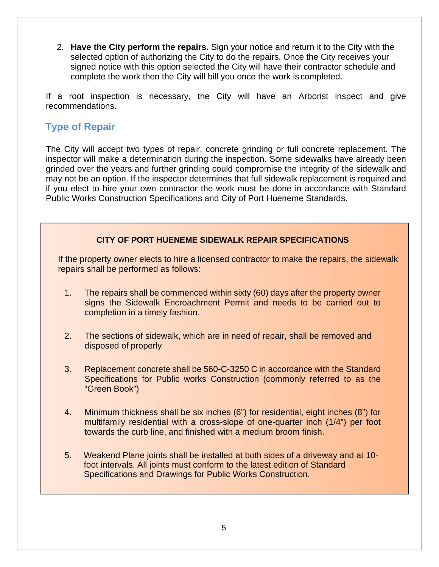2. **Have the City perform the repairs.** Sign your notice and return it to the City with the selected option of authorizing the City to do the repairs. Once the City receives your signed notice with this option selected the City will have their contractor schedule and complete the work then the City will bill you once the work is completed.

If a root inspection is necessary, the City will have an Arborist inspect and give recommendations.

# **Type of Repair**

The City will accept two types of repair, concrete grinding or full concrete replacement. The inspector will make a determination during the inspection. Some sidewalks have already been grinded over the years and further grinding could compromise the integrity of the sidewalk and may not be an option. If the inspector determines that full sidewalk replacement is required and if you elect to hire your own contractor the work must be done in accordance with Standard Public Works Construction Specifications and City of Port Hueneme Standards.

## **CITY OF PORT HUENEME SIDEWALK REPAIR SPECIFICATIONS**

If the property owner elects to hire a licensed contractor to make the repairs, the sidewalk repairs shall be performed as follows:

- 1. The repairs shall be commenced within sixty (60) days after the property owner signs the Sidewalk Encroachment Permit and needs to be carried out to completion in a timely fashion.
- 2. The sections of sidewalk, which are in need of repair, shall be removed and disposed of properly
- 3. Replacement concrete shall be 560-C-3250 C in accordance with the Standard Specifications for Public works Construction (commonly referred to as the "Green Book")
- 4. Minimum thickness shall be six inches (6") for residential, eight inches (8") for multifamily residential with a cross-slope of one-quarter inch (1/4") per foot towards the curb line, and finished with a medium broom finish.
- 5. Weakend Plane joints shall be installed at both sides of a driveway and at 10 foot intervals. All joints must conform to the latest edition of Standard Specifications and Drawings for Public Works Construction.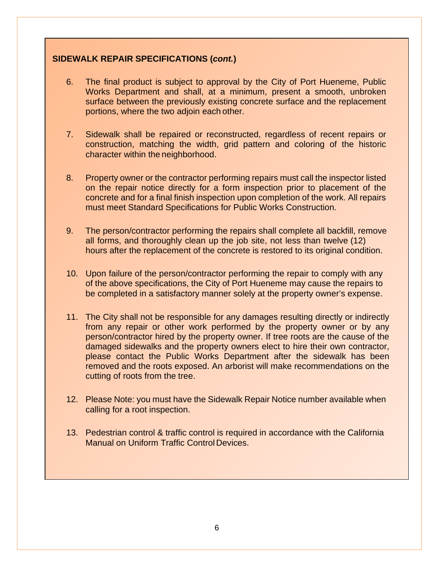## **SIDEWALK REPAIR SPECIFICATIONS (***cont.***)**

- 6. The final product is subject to approval by the City of Port Hueneme, Public Works Department and shall, at a minimum, present a smooth, unbroken surface between the previously existing concrete surface and the replacement portions, where the two adjoin each other.
- 7. Sidewalk shall be repaired or reconstructed, regardless of recent repairs or construction, matching the width, grid pattern and coloring of the historic character within the neighborhood.
- 8. Property owner or the contractor performing repairs must call the inspector listed on the repair notice directly for a form inspection prior to placement of the concrete and for a final finish inspection upon completion of the work. All repairs must meet Standard Specifications for Public Works Construction.
- 9. The person/contractor performing the repairs shall complete all backfill, remove all forms, and thoroughly clean up the job site, not less than twelve (12) hours after the replacement of the concrete is restored to its original condition.
- 10. Upon failure of the person/contractor performing the repair to comply with any of the above specifications, the City of Port Hueneme may cause the repairs to be completed in a satisfactory manner solely at the property owner's expense.
- 11. The City shall not be responsible for any damages resulting directly or indirectly from any repair or other work performed by the property owner or by any person/contractor hired by the property owner. If tree roots are the cause of the damaged sidewalks and the property owners elect to hire their own contractor, please contact the Public Works Department after the sidewalk has been removed and the roots exposed. An arborist will make recommendations on the cutting of roots from the tree.
- 12. Please Note: you must have the Sidewalk Repair Notice number available when calling for a root inspection.
- 13. Pedestrian control & traffic control is required in accordance with the California Manual on Uniform Traffic Control Devices.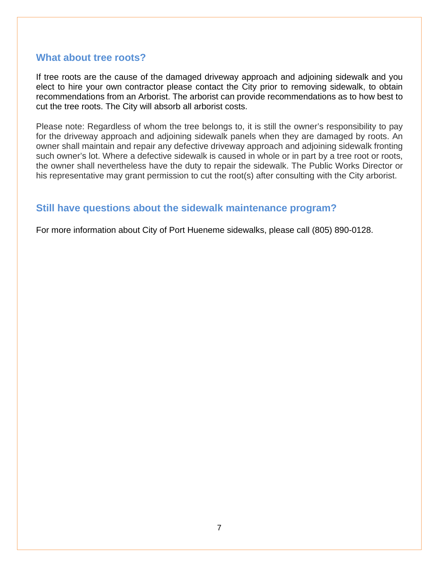## **What about tree roots?**

If tree roots are the cause of the damaged driveway approach and adjoining sidewalk and you elect to hire your own contractor please contact the City prior to removing sidewalk, to obtain recommendations from an Arborist. The arborist can provide recommendations as to how best to cut the tree roots. The City will absorb all arborist costs.

Please note: Regardless of whom the tree belongs to, it is still the owner's responsibility to pay for the driveway approach and adjoining sidewalk panels when they are damaged by roots. An owner shall maintain and repair any defective driveway approach and adjoining sidewalk fronting such owner's lot. Where a defective sidewalk is caused in whole or in part by a tree root or roots, the owner shall nevertheless have the duty to repair the sidewalk. The Public Works Director or his representative may grant permission to cut the root(s) after consulting with the City arborist.

# **Still have questions about the sidewalk maintenance program?**

For more information about City of Port Hueneme sidewalks, please call (805) 890-0128.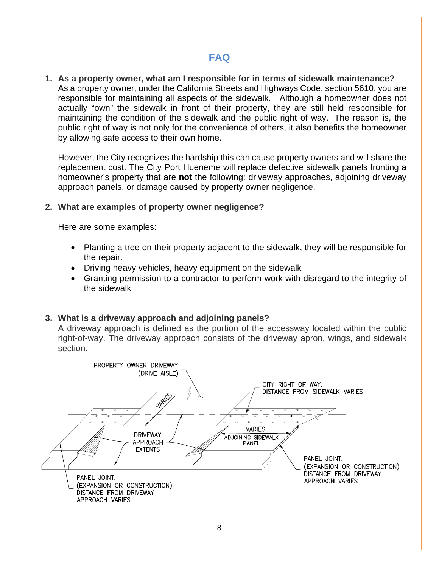# **FAQ**

**1. As a property owner, what am I responsible for in terms of sidewalk maintenance?** As a property owner, under the California Streets and Highways Code, section 5610, you are responsible for maintaining all aspects of the sidewalk. Although a homeowner does not actually "own" the sidewalk in front of their property, they are still held responsible for maintaining the condition of the sidewalk and the public right of way. The reason is, the public right of way is not only for the convenience of others, it also benefits the homeowner by allowing safe access to their own home.

However, the City recognizes the hardship this can cause property owners and will share the replacement cost. The City Port Hueneme will replace defective sidewalk panels fronting a homeowner's property that are **not** the following: driveway approaches, adjoining driveway approach panels, or damage caused by property owner negligence.

#### **2. What are examples of property owner negligence?**

Here are some examples:

- Planting a tree on their property adjacent to the sidewalk, they will be responsible for the repair.
- Driving heavy vehicles, heavy equipment on the sidewalk
- Granting permission to a contractor to perform work with disregard to the integrity of the sidewalk

## **3. What is a driveway approach and adjoining panels?**

A driveway approach is defined as the portion of the accessway located within the public right-of-way. The driveway approach consists of the driveway apron, wings, and sidewalk section.